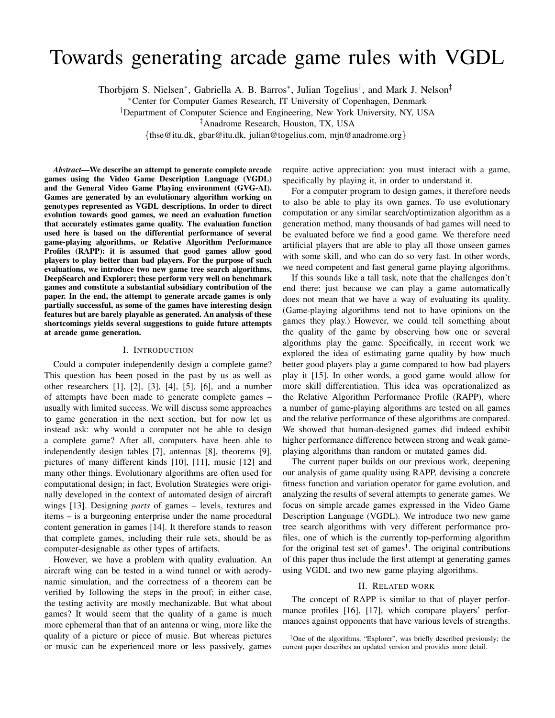# Towards generating arcade game rules with VGDL

Thorbjørn S. Nielsen<sup>∗</sup>, Gabriella A. B. Barros<sup>∗</sup>, Julian Togelius<sup>†</sup>, and Mark J. Nelson<sup>‡</sup>

<sup>∗</sup>Center for Computer Games Research, IT University of Copenhagen, Denmark

†Department of Computer Science and Engineering, New York University, NY, USA

‡Anadrome Research, Houston, TX, USA

{thse@itu.dk, gbar@itu.dk, julian@togelius.com, mjn@anadrome.org}

*Abstract*—We describe an attempt to generate complete arcade games using the Video Game Description Language (VGDL) and the General Video Game Playing environment (GVG-AI). Games are generated by an evolutionary algorithm working on genotypes represented as VGDL descriptions. In order to direct evolution towards good games, we need an evaluation function that accurately estimates game quality. The evaluation function used here is based on the differential performance of several game-playing algorithms, or Relative Algorithm Performance Profiles (RAPP): it is assumed that good games allow good players to play better than bad players. For the purpose of such evaluations, we introduce two new game tree search algorithms, DeepSearch and Explorer; these perform very well on benchmark games and constitute a substantial subsidiary contribution of the paper. In the end, the attempt to generate arcade games is only partially successful, as some of the games have interesting design features but are barely playable as generated. An analysis of these shortcomings yields several suggestions to guide future attempts at arcade game generation.

# I. INTRODUCTION

Could a computer independently design a complete game? This question has been posed in the past by us as well as other researchers [1], [2], [3], [4], [5], [6], and a number of attempts have been made to generate complete games – usually with limited success. We will discuss some approaches to game generation in the next section, but for now let us instead ask: why would a computer not be able to design a complete game? After all, computers have been able to independently design tables [7], antennas [8], theorems [9], pictures of many different kinds [10], [11], music [12] and many other things. Evolutionary algorithms are often used for computational design; in fact, Evolution Strategies were originally developed in the context of automated design of aircraft wings [13]. Designing *parts* of games – levels, textures and items – is a burgeoning enterprise under the name procedural content generation in games [14]. It therefore stands to reason that complete games, including their rule sets, should be as computer-designable as other types of artifacts.

However, we have a problem with quality evaluation. An aircraft wing can be tested in a wind tunnel or with aerodynamic simulation, and the correctness of a theorem can be verified by following the steps in the proof; in either case, the testing activity are mostly mechanizable. But what about games? It would seem that the quality of a game is much more ephemeral than that of an antenna or wing, more like the quality of a picture or piece of music. But whereas pictures or music can be experienced more or less passively, games

require active appreciation: you must interact with a game, specifically by playing it, in order to understand it.

For a computer program to design games, it therefore needs to also be able to play its own games. To use evolutionary computation or any similar search/optimization algorithm as a generation method, many thousands of bad games will need to be evaluated before we find a good game. We therefore need artificial players that are able to play all those unseen games with some skill, and who can do so very fast. In other words, we need competent and fast general game playing algorithms.

If this sounds like a tall task, note that the challenges don't end there: just because we can play a game automatically does not mean that we have a way of evaluating its quality. (Game-playing algorithms tend not to have opinions on the games they play.) However, we could tell something about the quality of the game by observing how one or several algorithms play the game. Specifically, in recent work we explored the idea of estimating game quality by how much better good players play a game compared to how bad players play it [15]. In other words, a good game would allow for more skill differentiation. This idea was operationalized as the Relative Algorithm Performance Profile (RAPP), where a number of game-playing algorithms are tested on all games and the relative performance of these algorithms are compared. We showed that human-designed games did indeed exhibit higher performance difference between strong and weak gameplaying algorithms than random or mutated games did.

The current paper builds on our previous work, deepening our analysis of game quality using RAPP, devising a concrete fitness function and variation operator for game evolution, and analyzing the results of several attempts to generate games. We focus on simple arcade games expressed in the Video Game Description Language (VGDL). We introduce two new game tree search algorithms with very different performance profiles, one of which is the currently top-performing algorithm for the original test set of games<sup>1</sup>. The original contributions of this paper thus include the first attempt at generating games using VGDL and two new game playing algorithms.

# II. RELATED WORK

The concept of RAPP is similar to that of player performance profiles [16], [17], which compare players' performances against opponents that have various levels of strengths.

<sup>&</sup>lt;sup>1</sup>One of the algorithms, "Explorer", was briefly described previously; the current paper describes an updated version and provides more detail.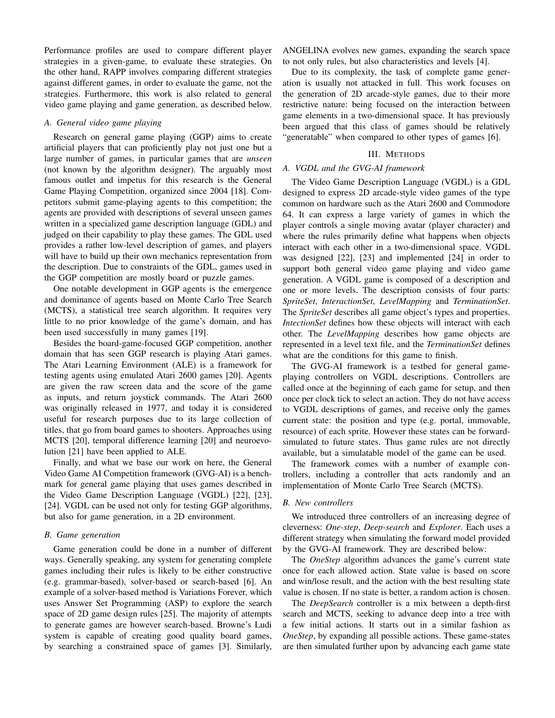Performance profiles are used to compare different player strategies in a given-game, to evaluate these strategies. On the other hand, RAPP involves comparing different strategies against different games, in order to evaluate the game, not the strategies. Furthermore, this work is also related to general video game playing and game generation, as described below.

# *A. General video game playing*

Research on general game playing (GGP) aims to create artificial players that can proficiently play not just one but a large number of games, in particular games that are *unseen* (not known by the algorithm designer). The arguably most famous outlet and impetus for this research is the General Game Playing Competition, organized since 2004 [18]. Competitors submit game-playing agents to this competition; the agents are provided with descriptions of several unseen games written in a specialized game description language (GDL) and judged on their capability to play these games. The GDL used provides a rather low-level description of games, and players will have to build up their own mechanics representation from the description. Due to constraints of the GDL, games used in the GGP competition are mostly board or puzzle games.

One notable development in GGP agents is the emergence and dominance of agents based on Monte Carlo Tree Search (MCTS), a statistical tree search algorithm. It requires very little to no prior knowledge of the game's domain, and has been used successfully in many games [19].

Besides the board-game-focused GGP competition, another domain that has seen GGP research is playing Atari games. The Atari Learning Environment (ALE) is a framework for testing agents using emulated Atari 2600 games [20]. Agents are given the raw screen data and the score of the game as inputs, and return joystick commands. The Atari 2600 was originally released in 1977, and today it is considered useful for research purposes due to its large collection of titles, that go from board games to shooters. Approaches using MCTS [20], temporal difference learning [20] and neuroevolution [21] have been applied to ALE.

Finally, and what we base our work on here, the General Video Game AI Competition framework (GVG-AI) is a benchmark for general game playing that uses games described in the Video Game Description Language (VGDL) [22], [23], [24]. VGDL can be used not only for testing GGP algorithms, but also for game generation, in a 2D environment.

#### *B. Game generation*

Game generation could be done in a number of different ways. Generally speaking, any system for generating complete games including their rules is likely to be either constructive (e.g. grammar-based), solver-based or search-based [6]. An example of a solver-based method is Variations Forever, which uses Answer Set Programming (ASP) to explore the search space of 2D game design rules [25]. The majority of attempts to generate games are however search-based. Browne's Ludi system is capable of creating good quality board games, by searching a constrained space of games [3]. Similarly,

ANGELINA evolves new games, expanding the search space to not only rules, but also characteristics and levels [4].

Due to its complexity, the task of complete game generation is usually not attacked in full. This work focuses on the generation of 2D arcade-style games, due to their more restrictive nature: being focused on the interaction between game elements in a two-dimensional space. It has previously been argued that this class of games should be relatively "generatable" when compared to other types of games [6].

# III. METHODS

# *A. VGDL and the GVG-AI framework*

The Video Game Description Language (VGDL) is a GDL designed to express 2D arcade-style video games of the type common on hardware such as the Atari 2600 and Commodore 64. It can express a large variety of games in which the player controls a single moving avatar (player character) and where the rules primarily define what happens when objects interact with each other in a two-dimensional space. VGDL was designed [22], [23] and implemented [24] in order to support both general video game playing and video game generation. A VGDL game is composed of a description and one or more levels. The description consists of four parts: *SpriteSet*, *InteractionSet*, *LevelMapping* and *TerminationSet*. The *SpriteSet* describes all game object's types and properties. *IntectionSet* defines how these objects will interact with each other. The *LevelMapping* describes how game objects are represented in a level text file, and the *TerminationSet* defines what are the conditions for this game to finish.

The GVG-AI framework is a testbed for general gameplaying controllers on VGDL descriptions. Controllers are called once at the beginning of each game for setup, and then once per clock tick to select an action. They do not have access to VGDL descriptions of games, and receive only the games current state: the position and type (e.g. portal, immovable, resource) of each sprite. However these states can be forwardsimulated to future states. Thus game rules are not directly available, but a simulatable model of the game can be used.

The framework comes with a number of example controllers, including a controller that acts randomly and an implementation of Monte Carlo Tree Search (MCTS).

# *B. New controllers*

We introduced three controllers of an increasing degree of cleverness: *One-step*, *Deep-search* and *Explorer*. Each uses a different strategy when simulating the forward model provided by the GVG-AI framework. They are described below:

The *OneStep* algorithm advances the game's current state once for each allowed action. State value is based on score and win/lose result, and the action with the best resulting state value is chosen. If no state is better, a random action is chosen.

The *DeepSearch* controller is a mix between a depth-first search and MCTS, seeking to advance deep into a tree with a few initial actions. It starts out in a similar fashion as *OneStep*, by expanding all possible actions. These game-states are then simulated further upon by advancing each game state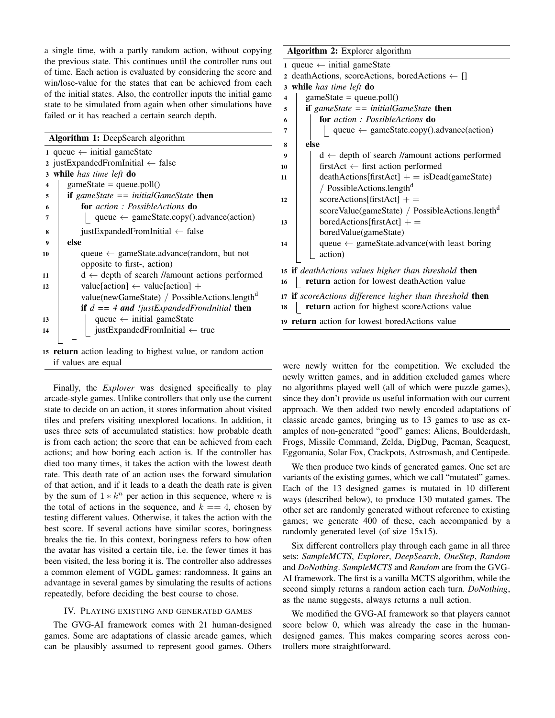a single time, with a partly random action, without copying the previous state. This continues until the controller runs out of time. Each action is evaluated by considering the score and win/lose-value for the states that can be achieved from each of the initial states. Also, the controller inputs the initial game state to be simulated from again when other simulations have failed or it has reached a certain search depth.

|                         | <b>Algorithm 1:</b> DeepSearch algorithm                    |
|-------------------------|-------------------------------------------------------------|
|                         | 1 queue $\leftarrow$ initial gameState                      |
|                         | 2 justExpandedFromInitial $\leftarrow$ false                |
|                         | 3 while has time left do                                    |
| $\overline{\mathbf{4}}$ | $gameState = queue.poll()$                                  |
| 5                       | <b>if</b> gameState $==$ initialGameState <b>then</b>       |
| 6                       | <b>for</b> action: PossibleActions <b>do</b>                |
| 7                       | queue $\leftarrow$ gameState.copy().advance(action)         |
| 8                       | justExpandedFromInitial $\leftarrow$ false                  |
| $\boldsymbol{9}$        | else                                                        |
| 10                      | queue $\leftarrow$ gameState.advance(random, but not        |
|                         | opposite to first-, action)                                 |
| 11                      | $d \leftarrow$ depth of search //amount actions performed   |
| 12                      | value[action] $\leftarrow$ value[action] +                  |
|                         | value(newGameState) / PossibleActions.length <sup>d</sup>   |
|                         | <b>if</b> $d == 4$ and <i>!justExpandedFromInitial</i> then |
| 13                      | queue $\leftarrow$ initial gameState                        |
| 14                      | justExpandedFromInitial $\leftarrow$ true                   |
|                         |                                                             |

<sup>15</sup> return action leading to highest value, or random action if values are equal

Finally, the *Explorer* was designed specifically to play arcade-style games. Unlike controllers that only use the current state to decide on an action, it stores information about visited tiles and prefers visiting unexplored locations. In addition, it uses three sets of accumulated statistics: how probable death is from each action; the score that can be achieved from each actions; and how boring each action is. If the controller has died too many times, it takes the action with the lowest death rate. This death rate of an action uses the forward simulation of that action, and if it leads to a death the death rate is given by the sum of  $1 * k^n$  per action in this sequence, where *n* is the total of actions in the sequence, and  $k == 4$ , chosen by testing different values. Otherwise, it takes the action with the best score. If several actions have similar scores, boringness breaks the tie. In this context, boringness refers to how often the avatar has visited a certain tile, i.e. the fewer times it has been visited, the less boring it is. The controller also addresses a common element of VGDL games: randomness. It gains an advantage in several games by simulating the results of actions repeatedly, before deciding the best course to chose.

## IV. PLAYING EXISTING AND GENERATED GAMES

The GVG-AI framework comes with 21 human-designed games. Some are adaptations of classic arcade games, which can be plausibly assumed to represent good games. Others

# Algorithm 2: Explorer algorithm

|                         | 1 queue $\leftarrow$ initial gameState                      |
|-------------------------|-------------------------------------------------------------|
|                         | 2 deathActions, scoreActions, boredActions $\leftarrow$ []  |
| 3                       | while has time left do                                      |
| $\overline{\mathbf{4}}$ | $\text{gameState} = \text{queue.poll}()$                    |
| 5                       | if gameState $==$ initialGameState then                     |
| 6                       | <b>for</b> action: PossibleActions <b>do</b>                |
| 7                       | queue $\leftarrow$ gameState.copy().advance(action)         |
| 8                       | else                                                        |
| 9                       | $d \leftarrow$ depth of search //amount actions performed   |
| 10                      | first $Act \leftarrow$ first action performed               |
| 11                      | $death Actions[firstAct] += isDead(gameState)$              |
|                         | / PossibleActions.length <sup>d</sup>                       |
| 12                      | $score\text{Actions}[\text{firstAct}] +=$                   |
|                         | scoreValue(gameState) / PossibleActions.length <sup>d</sup> |
| 13                      | $bored Actions[firstAct] +$                                 |
|                         | boredValue(gameState)                                       |
| 14                      | queue $\leftarrow$ gameState.advance(with least boring      |
|                         | action)                                                     |
|                         | 15 if deathActions values higher than threshold then        |
| 16                      | return action for lowest deathAction value                  |
|                         |                                                             |
|                         | 17 if scoreActions difference higher than threshold then    |
| 18                      | return action for highest scoreActions value                |
|                         | 19 <b>return</b> action for lowest bored Actions value      |

were newly written for the competition. We excluded the newly written games, and in addition excluded games where no algorithms played well (all of which were puzzle games), since they don't provide us useful information with our current approach. We then added two newly encoded adaptations of classic arcade games, bringing us to 13 games to use as examples of non-generated "good" games: Aliens, Boulderdash, Frogs, Missile Command, Zelda, DigDug, Pacman, Seaquest, Eggomania, Solar Fox, Crackpots, Astrosmash, and Centipede.

We then produce two kinds of generated games. One set are variants of the existing games, which we call "mutated" games. Each of the 13 designed games is mutated in 10 different ways (described below), to produce 130 mutated games. The other set are randomly generated without reference to existing games; we generate 400 of these, each accompanied by a randomly generated level (of size 15x15).

Six different controllers play through each game in all three sets: *SampleMCTS*, *Explorer*, *DeepSearch*, *OneStep*, *Random* and *DoNothing*. *SampleMCTS* and *Random* are from the GVG-AI framework. The first is a vanilla MCTS algorithm, while the second simply returns a random action each turn. *DoNothing*, as the name suggests, always returns a null action.

We modified the GVG-AI framework so that players cannot score below 0, which was already the case in the humandesigned games. This makes comparing scores across controllers more straightforward.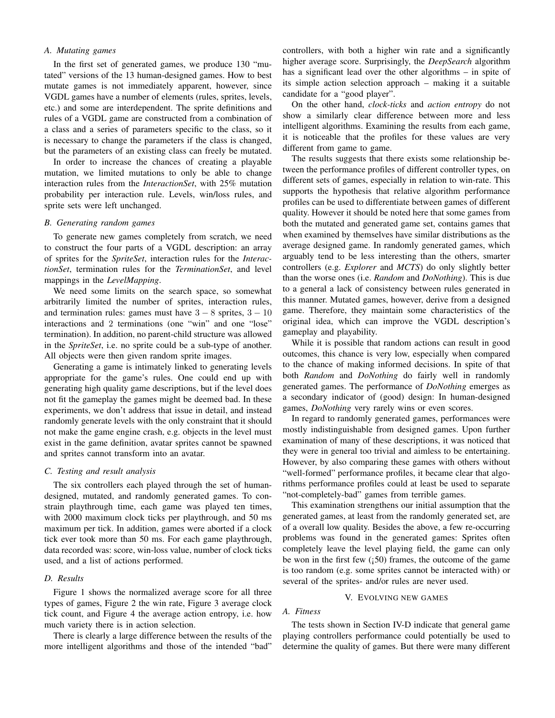# *A. Mutating games*

In the first set of generated games, we produce 130 "mutated" versions of the 13 human-designed games. How to best mutate games is not immediately apparent, however, since VGDL games have a number of elements (rules, sprites, levels, etc.) and some are interdependent. The sprite definitions and rules of a VGDL game are constructed from a combination of a class and a series of parameters specific to the class, so it is necessary to change the parameters if the class is changed, but the parameters of an existing class can freely be mutated.

In order to increase the chances of creating a playable mutation, we limited mutations to only be able to change interaction rules from the *InteractionSet*, with 25% mutation probability per interaction rule. Levels, win/loss rules, and sprite sets were left unchanged.

# *B. Generating random games*

To generate new games completely from scratch, we need to construct the four parts of a VGDL description: an array of sprites for the *SpriteSet*, interaction rules for the *InteractionSet*, termination rules for the *TerminationSet*, and level mappings in the *LevelMapping*.

We need some limits on the search space, so somewhat arbitrarily limited the number of sprites, interaction rules, and termination rules: games must have  $3 - 8$  sprites,  $3 - 10$ interactions and 2 terminations (one "win" and one "lose" termination). In addition, no parent-child structure was allowed in the *SpriteSet*, i.e. no sprite could be a sub-type of another. All objects were then given random sprite images.

Generating a game is intimately linked to generating levels appropriate for the game's rules. One could end up with generating high quality game descriptions, but if the level does not fit the gameplay the games might be deemed bad. In these experiments, we don't address that issue in detail, and instead randomly generate levels with the only constraint that it should not make the game engine crash, e.g. objects in the level must exist in the game definition, avatar sprites cannot be spawned and sprites cannot transform into an avatar.

#### *C. Testing and result analysis*

The six controllers each played through the set of humandesigned, mutated, and randomly generated games. To constrain playthrough time, each game was played ten times, with 2000 maximum clock ticks per playthrough, and 50 ms maximum per tick. In addition, games were aborted if a clock tick ever took more than 50 ms. For each game playthrough, data recorded was: score, win-loss value, number of clock ticks used, and a list of actions performed.

# *D. Results*

Figure 1 shows the normalized average score for all three types of games, Figure 2 the win rate, Figure 3 average clock tick count, and Figure 4 the average action entropy, i.e. how much variety there is in action selection.

There is clearly a large difference between the results of the more intelligent algorithms and those of the intended "bad"

controllers, with both a higher win rate and a significantly higher average score. Surprisingly, the *DeepSearch* algorithm has a significant lead over the other algorithms – in spite of its simple action selection approach – making it a suitable candidate for a "good player".

On the other hand, *clock-ticks* and *action entropy* do not show a similarly clear difference between more and less intelligent algorithms. Examining the results from each game, it is noticeable that the profiles for these values are very different from game to game.

The results suggests that there exists some relationship between the performance profiles of different controller types, on different sets of games, especially in relation to win-rate. This supports the hypothesis that relative algorithm performance profiles can be used to differentiate between games of different quality. However it should be noted here that some games from both the mutated and generated game set, contains games that when examined by themselves have similar distributions as the average designed game. In randomly generated games, which arguably tend to be less interesting than the others, smarter controllers (e.g. *Explorer* and *MCTS*) do only slightly better than the worse ones (i.e. *Random* and *DoNothing*). This is due to a general a lack of consistency between rules generated in this manner. Mutated games, however, derive from a designed game. Therefore, they maintain some characteristics of the original idea, which can improve the VGDL description's gameplay and playability.

While it is possible that random actions can result in good outcomes, this chance is very low, especially when compared to the chance of making informed decisions. In spite of that both *Random* and *DoNothing* do fairly well in randomly generated games. The performance of *DoNothing* emerges as a secondary indicator of (good) design: In human-designed games, *DoNothing* very rarely wins or even scores.

In regard to randomly generated games, performances were mostly indistinguishable from designed games. Upon further examination of many of these descriptions, it was noticed that they were in general too trivial and aimless to be entertaining. However, by also comparing these games with others without "well-formed" performance profiles, it became clear that algorithms performance profiles could at least be used to separate "not-completely-bad" games from terrible games.

This examination strengthens our initial assumption that the generated games, at least from the randomly generated set, are of a overall low quality. Besides the above, a few re-occurring problems was found in the generated games: Sprites often completely leave the level playing field, the game can only be won in the first few  $(50)$  frames, the outcome of the game is too random (e.g. some sprites cannot be interacted with) or several of the sprites- and/or rules are never used.

#### V. EVOLVING NEW GAMES

# *A. Fitness*

The tests shown in Section IV-D indicate that general game playing controllers performance could potentially be used to determine the quality of games. But there were many different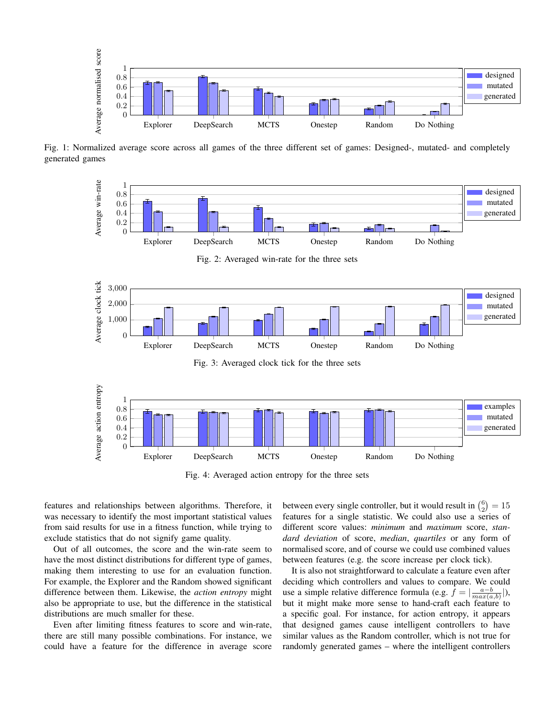

Fig. 1: Normalized average score across all games of the three different set of games: Designed-, mutated- and completely generated games



Fig. 4: Averaged action entropy for the three sets

features and relationships between algorithms. Therefore, it was necessary to identify the most important statistical values from said results for use in a fitness function, while trying to exclude statistics that do not signify game quality.

Out of all outcomes, the score and the win-rate seem to have the most distinct distributions for different type of games, making them interesting to use for an evaluation function. For example, the Explorer and the Random showed significant difference between them. Likewise, the *action entropy* might also be appropriate to use, but the difference in the statistical distributions are much smaller for these.

Even after limiting fitness features to score and win-rate, there are still many possible combinations. For instance, we could have a feature for the difference in average score

between every single controller, but it would result in  $\binom{6}{2} = 15$ features for a single statistic. We could also use a series of different score values: *minimum* and *maximum* score, *standard deviation* of score, *median*, *quartiles* or any form of normalised score, and of course we could use combined values between features (e.g. the score increase per clock tick).

It is also not straightforward to calculate a feature even after deciding which controllers and values to compare. We could use a simple relative difference formula (e.g.  $f = \left| \frac{a-b}{max(a,b)} \right|$ ), but it might make more sense to hand-craft each feature to a specific goal. For instance, for action entropy, it appears that designed games cause intelligent controllers to have similar values as the Random controller, which is not true for randomly generated games – where the intelligent controllers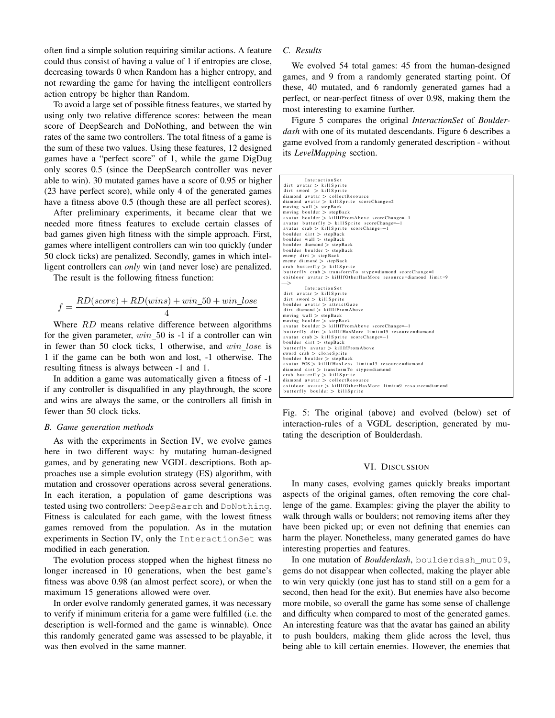often find a simple solution requiring similar actions. A feature could thus consist of having a value of 1 if entropies are close, decreasing towards 0 when Random has a higher entropy, and not rewarding the game for having the intelligent controllers action entropy be higher than Random.

To avoid a large set of possible fitness features, we started by using only two relative difference scores: between the mean score of DeepSearch and DoNothing, and between the win rates of the same two controllers. The total fitness of a game is the sum of these two values. Using these features, 12 designed games have a "perfect score" of 1, while the game DigDug only scores 0.5 (since the DeepSearch controller was never able to win). 30 mutated games have a score of 0.95 or higher (23 have perfect score), while only 4 of the generated games have a fitness above 0.5 (though these are all perfect scores).

After preliminary experiments, it became clear that we needed more fitness features to exclude certain classes of bad games given high fitness with the simple approach. First, games where intelligent controllers can win too quickly (under 50 clock ticks) are penalized. Secondly, games in which intelligent controllers can *only* win (and never lose) are penalized.

The result is the following fitness function:

$$
f = \frac{RD(score) + RD(wins) + win\_50 + win\_lose}{4}
$$

Where *RD* means relative difference between algorithms for the given parameter,  $win\_50$  is  $-1$  if a controller can win in fewer than 50 clock ticks, 1 otherwise, and  $win\_lose$  is 1 if the game can be both won and lost, -1 otherwise. The resulting fitness is always between -1 and 1.

In addition a game was automatically given a fitness of -1 if any controller is disqualified in any playthrough, the score and wins are always the same, or the controllers all finish in fewer than 50 clock ticks.

# *B. Game generation methods*

As with the experiments in Section IV, we evolve games here in two different ways: by mutating human-designed games, and by generating new VGDL descriptions. Both approaches use a simple evolution strategy (ES) algorithm, with mutation and crossover operations across several generations. In each iteration, a population of game descriptions was tested using two controllers: DeepSearch and DoNothing. Fitness is calculated for each game, with the lowest fitness games removed from the population. As in the mutation experiments in Section IV, only the InteractionSet was modified in each generation.

The evolution process stopped when the highest fitness no longer increased in 10 generations, when the best game's fitness was above 0.98 (an almost perfect score), or when the maximum 15 generations allowed were over.

In order evolve randomly generated games, it was necessary to verify if minimum criteria for a game were fulfilled (i.e. the description is well-formed and the game is winnable). Once this randomly generated game was assessed to be playable, it was then evolved in the same manner.

# *C. Results*

We evolved 54 total games: 45 from the human-designed games, and 9 from a randomly generated starting point. Of these, 40 mutated, and 6 randomly generated games had a perfect, or near-perfect fitness of over 0.98, making them the most interesting to examine further.

Figure 5 compares the original *InteractionSet* of *Boulderdash* with one of its mutated descendants. Figure 6 describes a game evolved from a randomly generated description - without its *LevelMapping* section.

| InteractionSet                                                                                  |
|-------------------------------------------------------------------------------------------------|
| $\text{dirt}$ avatar $>$ killSprite                                                             |
| $\text{dirt}$ sword > killSprite                                                                |
| diamond avatar > collectResource                                                                |
| diamond avatar $>$ killSprite scoreChange=2                                                     |
| moving wall $>$ stepBack                                                                        |
| moving boulder $>$ stepBack                                                                     |
| avatar boulder > killIfFromAbove scoreChange=-1                                                 |
| avatar butterfly $>$ killSprite scoreChange=-1                                                  |
| $avatar$ crab > killSprite scoreChange=-1                                                       |
| boulder $\text{dirt} > \text{stepBack}$                                                         |
| boulder wall $>$ stepBack                                                                       |
| boulder diamond $>$ stepBack                                                                    |
| boulder boulder $>$ stepBack                                                                    |
| enemy $\text{dirt} > \text{stepBack}$                                                           |
| enemy diamond $>$ stepBack                                                                      |
| $crab$ butterfly $>$ killSprite                                                                 |
| butterfly $crab > transformTo$ stype=diamond scoreChange=1                                      |
| exitdoor avatar > killIfOtherHasMore resource=diamond limit=9                                   |
| $\rightarrow$                                                                                   |
| InteractionSet                                                                                  |
|                                                                                                 |
| $\text{dirt}$ avatar $>$ killSprite                                                             |
| $\text{dirt}$ sword $\text{>}$ kill Sprite                                                      |
| boulder avatar $>$ attractGaze                                                                  |
| dirt diamond > killIfFromAbove                                                                  |
| moving wall $>$ stepBack                                                                        |
| moving boulder $>$ stepBack                                                                     |
| avatar boulder > killIfFromAbove scoreChange=-1                                                 |
| butterfly dirt > killIfHasMore limit=15 resource=diamond                                        |
| avatar crab > killSprite scoreChange=-1                                                         |
| boulder $\text{dirt} > \text{stepBack}$                                                         |
| butterfly avatar > killIfFromAbove                                                              |
| sword $crab > cloneSprite$                                                                      |
| boulder boulder $>$ stepBack                                                                    |
| avatar EOS > killIfHasLess limit=13 resource=diamond                                            |
| diamond $\text{dirt} > \text{transformTo } \text{style=} \text{diamond}$                        |
| $crab$ butterfly $>$ killSprite                                                                 |
| $diamond$ avatar $>$ collectResource                                                            |
| exitdoor avatar > killIfOtherHasMore limit=9 resource=diamond<br>butterfly boulder > killSprite |

Fig. 5: The original (above) and evolved (below) set of interaction-rules of a VGDL description, generated by mutating the description of Boulderdash.

#### VI. DISCUSSION

In many cases, evolving games quickly breaks important aspects of the original games, often removing the core challenge of the game. Examples: giving the player the ability to walk through walls or boulders; not removing items after they have been picked up; or even not defining that enemies can harm the player. Nonetheless, many generated games do have interesting properties and features.

In one mutation of *Boulderdash*, boulderdash\_mut09, gems do not disappear when collected, making the player able to win very quickly (one just has to stand still on a gem for a second, then head for the exit). But enemies have also become more mobile, so overall the game has some sense of challenge and difficulty when compared to most of the generated games. An interesting feature was that the avatar has gained an ability to push boulders, making them glide across the level, thus being able to kill certain enemies. However, the enemies that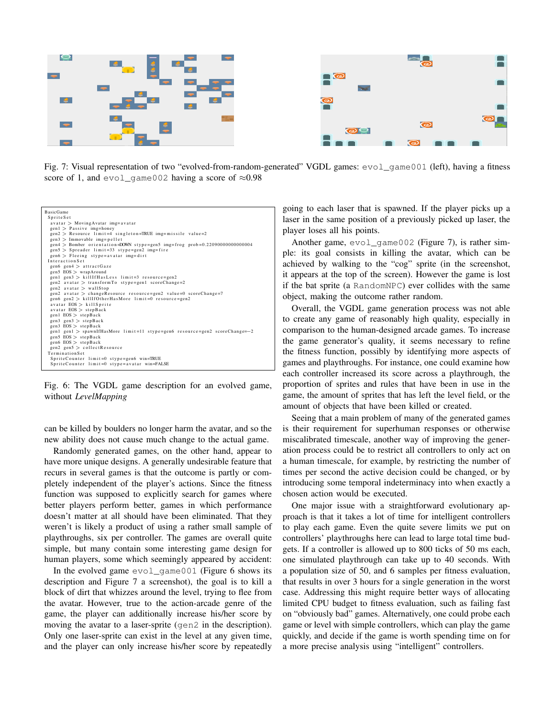

Fig. 7: Visual representation of two "evolved-from-random-generated" VGDL games: evol\_game001 (left), having a fitness score of 1, and evol\_game002 having a score of  $\approx 0.98$ 



Fig. 6: The VGDL game description for an evolved game, without *LevelMapping*

can be killed by boulders no longer harm the avatar, and so the new ability does not cause much change to the actual game.

Randomly generated games, on the other hand, appear to have more unique designs. A generally undesirable feature that recurs in several games is that the outcome is partly or completely independent of the player's actions. Since the fitness function was supposed to explicitly search for games where better players perform better, games in which performance doesn't matter at all should have been eliminated. That they weren't is likely a product of using a rather small sample of playthroughs, six per controller. The games are overall quite simple, but many contain some interesting game design for human players, some which seemingly appeared by accident:

In the evolved game  $evol\_game001$  (Figure 6 shows its description and Figure 7 a screenshot), the goal is to kill a block of dirt that whizzes around the level, trying to flee from the avatar. However, true to the action-arcade genre of the game, the player can additionally increase his/her score by moving the avatar to a laser-sprite (gen2 in the description). Only one laser-sprite can exist in the level at any given time, and the player can only increase his/her score by repeatedly

going to each laser that is spawned. If the player picks up a laser in the same position of a previously picked up laser, the player loses all his points.

Another game, evol\_game002 (Figure 7), is rather simple: its goal consists in killing the avatar, which can be achieved by walking to the "cog" sprite (in the screenshot, it appears at the top of the screen). However the game is lost if the bat sprite (a RandomNPC) ever collides with the same object, making the outcome rather random.

Overall, the VGDL game generation process was not able to create any game of reasonably high quality, especially in comparison to the human-designed arcade games. To increase the game generator's quality, it seems necessary to refine the fitness function, possibly by identifying more aspects of games and playthroughs. For instance, one could examine how each controller increased its score across a playthrough, the proportion of sprites and rules that have been in use in the game, the amount of sprites that has left the level field, or the amount of objects that have been killed or created.

Seeing that a main problem of many of the generated games is their requirement for superhuman responses or otherwise miscalibrated timescale, another way of improving the generation process could be to restrict all controllers to only act on a human timescale, for example, by restricting the number of times per second the active decision could be changed, or by introducing some temporal indeterminacy into when exactly a chosen action would be executed.

One major issue with a straightforward evolutionary approach is that it takes a lot of time for intelligent controllers to play each game. Even the quite severe limits we put on controllers' playthroughs here can lead to large total time budgets. If a controller is allowed up to 800 ticks of 50 ms each, one simulated playthrough can take up to 40 seconds. With a population size of 50, and 6 samples per fitness evaluation, that results in over 3 hours for a single generation in the worst case. Addressing this might require better ways of allocating limited CPU budget to fitness evaluation, such as failing fast on "obviously bad" games. Alternatively, one could probe each game or level with simple controllers, which can play the game quickly, and decide if the game is worth spending time on for a more precise analysis using "intelligent" controllers.